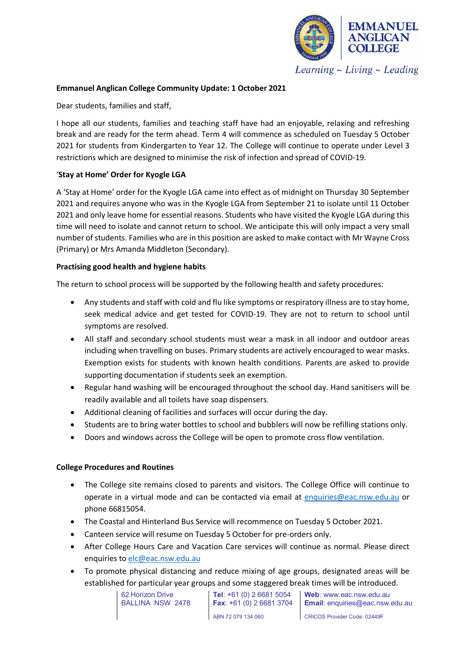

Learning  $\sim$  Living  $\sim$  Leading

# **Emmanuel Anglican College Community Update: 1 October 2021**

Dear students, families and staff,

I hope all our students, families and teaching staff have had an enjoyable, relaxing and refreshing break and are ready for the term ahead. Term 4 will commence as scheduled on Tuesday 5 October 2021 for students from Kindergarten to Year 12. The College will continue to operate under Level 3 restrictions which are designed to minimise the risk of infection and spread of COVID-19.

# '**Stay at Home' Order for Kyogle LGA**

A 'Stay at Home' order for the Kyogle LGA came into effect as of midnight on Thursday 30 September 2021 and requires anyone who was in the Kyogle LGA from September 21 to isolate until 11 October 2021 and only leave home for essential reasons. Students who have visited the Kyogle LGA during this time will need to isolate and cannot return to school. We anticipate this will only impact a very small number of students. Families who are in this position are asked to make contact with Mr Wayne Cross (Primary) or Mrs Amanda Middleton (Secondary).

# **Practising good health and hygiene habits**

The return to school process will be supported by the following health and safety procedures:

- Any students and staff with cold and flu like symptoms or respiratory illness are to stay home, seek medical advice and get tested for COVID-19. They are not to return to school until symptoms are resolved.
- All staff and secondary school students must wear a mask in all indoor and outdoor areas including when travelling on buses. Primary students are actively encouraged to wear masks. Exemption exists for students with known health conditions. Parents are asked to provide supporting documentation if students seek an exemption.
- Regular hand washing will be encouraged throughout the school day. Hand sanitisers will be readily available and all toilets have soap dispensers.
- Additional cleaning of facilities and surfaces will occur during the day.
- Students are to bring water bottles to school and bubblers will now be refilling stations only.
- Doors and windows across the College will be open to promote cross flow ventilation.

### **College Procedures and Routines**

- The College site remains closed to parents and visitors. The College Office will continue to operate in a virtual mode and can be contacted via email at [enquiries@eac.nsw.edu.au](mailto:enquiries@eac.nsw.edu.au) or phone 66815054.
- The Coastal and Hinterland Bus Service will recommence on Tuesday 5 October 2021.
- Canteen service will resume on Tuesday 5 October for pre-orders only.
- After College Hours Care and Vacation Care services will continue as normal. Please direct enquiries to [elc@eac.nsw.edu.au](mailto:elc@eac.nsw.edu.au)
- To promote physical distancing and reduce mixing of age groups, designated areas will be established for particular year groups and some staggered break times will be introduced.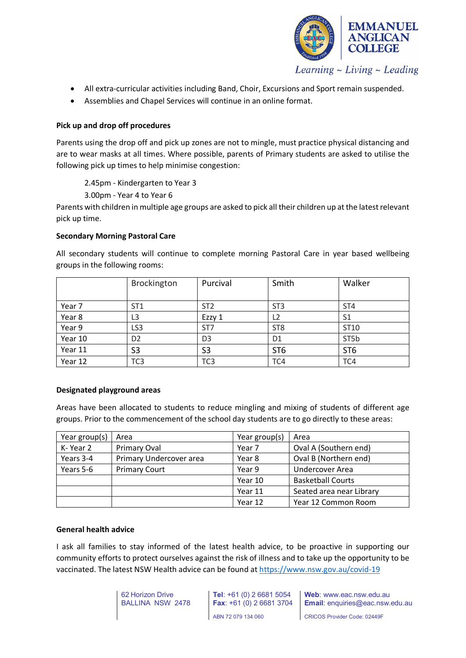

- All extra-curricular activities including Band, Choir, Excursions and Sport remain suspended.
- Assemblies and Chapel Services will continue in an online format.

# **Pick up and drop off procedures**

Parents using the drop off and pick up zones are not to mingle, must practice physical distancing and are to wear masks at all times. Where possible, parents of Primary students are asked to utilise the following pick up times to help minimise congestion:

2.45pm - Kindergarten to Year 3

3.00pm - Year 4 to Year 6

Parents with children in multiple age groups are asked to pick all their children up at the latest relevant pick up time.

### **Secondary Morning Pastoral Care**

|         | Brockington     | Purcival        | Smith           | Walker          |
|---------|-----------------|-----------------|-----------------|-----------------|
| Year 7  | ST <sub>1</sub> | ST <sub>2</sub> | ST <sub>3</sub> | ST <sub>4</sub> |
| Year 8  | L <sub>3</sub>  | Ezzy 1          | L <sub>2</sub>  | S1              |
| Year 9  | LS <sub>3</sub> | ST7             | ST <sub>8</sub> | ST10            |
| Year 10 | D <sub>2</sub>  | D <sub>3</sub>  | D <sub>1</sub>  | ST5b            |
| Year 11 | S <sub>3</sub>  | S <sub>3</sub>  | ST <sub>6</sub> | ST <sub>6</sub> |
| Year 12 | TC <sub>3</sub> | TC <sub>3</sub> | TC4             | TC4             |

All secondary students will continue to complete morning Pastoral Care in year based wellbeing groups in the following rooms:

# **Designated playground areas**

Areas have been allocated to students to reduce mingling and mixing of students of different age groups. Prior to the commencement of the school day students are to go directly to these areas:

| Year group(s) | Area                    | Year group(s) | Area                     |
|---------------|-------------------------|---------------|--------------------------|
| K-Year 2      | Primary Oval            | Year 7        | Oval A (Southern end)    |
| Years 3-4     | Primary Undercover area | Year 8        | Oval B (Northern end)    |
| Years 5-6     | <b>Primary Court</b>    | Year 9        | Undercover Area          |
|               |                         | Year 10       | <b>Basketball Courts</b> |
|               |                         | Year 11       | Seated area near Library |
|               |                         | Year 12       | Year 12 Common Room      |

### **General health advice**

I ask all families to stay informed of the latest health advice, to be proactive in supporting our community efforts to protect ourselves against the risk of illness and to take up the opportunity to be vaccinated. The latest NSW Health advice can be found at <https://www.nsw.gov.au/covid-19>

| 62 Horizon Drive<br>BALLINA NSW 2478 |  |  |  |  |  |
|--------------------------------------|--|--|--|--|--|
|                                      |  |  |  |  |  |

**Tel**: +61 (0) 2 6681 5054 **Fax**: +61 (0) 2 6681 3704 ABN 72 079 134 060

**Web**: www.eac.nsw.edu.au **Email**: enquiries@eac.nsw.edu.au

CRICOS Provider Code: 02449F